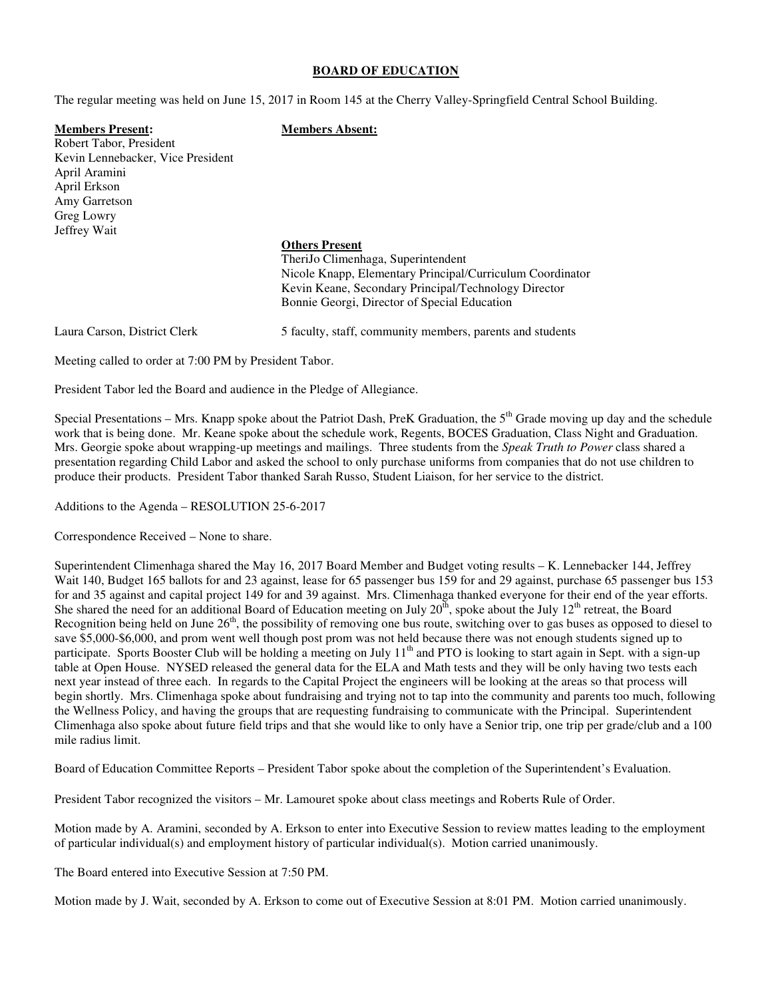#### **BOARD OF EDUCATION**

The regular meeting was held on June 15, 2017 in Room 145 at the Cherry Valley-Springfield Central School Building.

**Members Present: Members Absent:** Robert Tabor, President Kevin Lennebacker, Vice President April Aramini April Erkson Amy Garretson Greg Lowry Jeffrey Wait

#### **Others Present**

 TheriJo Climenhaga, Superintendent Nicole Knapp, Elementary Principal/Curriculum Coordinator Kevin Keane, Secondary Principal/Technology Director Bonnie Georgi, Director of Special Education

Laura Carson, District Clerk 5 faculty, staff, community members, parents and students

Meeting called to order at 7:00 PM by President Tabor.

President Tabor led the Board and audience in the Pledge of Allegiance.

Special Presentations – Mrs. Knapp spoke about the Patriot Dash, PreK Graduation, the  $5<sup>th</sup>$  Grade moving up day and the schedule work that is being done. Mr. Keane spoke about the schedule work, Regents, BOCES Graduation, Class Night and Graduation. Mrs. Georgie spoke about wrapping-up meetings and mailings. Three students from the *Speak Truth to Power* class shared a presentation regarding Child Labor and asked the school to only purchase uniforms from companies that do not use children to produce their products. President Tabor thanked Sarah Russo, Student Liaison, for her service to the district.

Additions to the Agenda – RESOLUTION 25-6-2017

Correspondence Received – None to share.

Superintendent Climenhaga shared the May 16, 2017 Board Member and Budget voting results – K. Lennebacker 144, Jeffrey Wait 140, Budget 165 ballots for and 23 against, lease for 65 passenger bus 159 for and 29 against, purchase 65 passenger bus 153 for and 35 against and capital project 149 for and 39 against. Mrs. Climenhaga thanked everyone for their end of the year efforts. She shared the need for an additional Board of Education meeting on July  $20^{th}$ , spoke about the July  $12^{th}$  retreat, the Board Recognition being held on June 26<sup>th</sup>, the possibility of removing one bus route, switching over to gas buses as opposed to diesel to save \$5,000-\$6,000, and prom went well though post prom was not held because there was not enough students signed up to participate. Sports Booster Club will be holding a meeting on July  $11<sup>th</sup>$  and PTO is looking to start again in Sept. with a sign-up table at Open House. NYSED released the general data for the ELA and Math tests and they will be only having two tests each next year instead of three each. In regards to the Capital Project the engineers will be looking at the areas so that process will begin shortly. Mrs. Climenhaga spoke about fundraising and trying not to tap into the community and parents too much, following the Wellness Policy, and having the groups that are requesting fundraising to communicate with the Principal. Superintendent Climenhaga also spoke about future field trips and that she would like to only have a Senior trip, one trip per grade/club and a 100 mile radius limit.

Board of Education Committee Reports – President Tabor spoke about the completion of the Superintendent's Evaluation.

President Tabor recognized the visitors – Mr. Lamouret spoke about class meetings and Roberts Rule of Order.

Motion made by A. Aramini, seconded by A. Erkson to enter into Executive Session to review mattes leading to the employment of particular individual(s) and employment history of particular individual(s). Motion carried unanimously.

The Board entered into Executive Session at 7:50 PM.

Motion made by J. Wait, seconded by A. Erkson to come out of Executive Session at 8:01 PM. Motion carried unanimously.